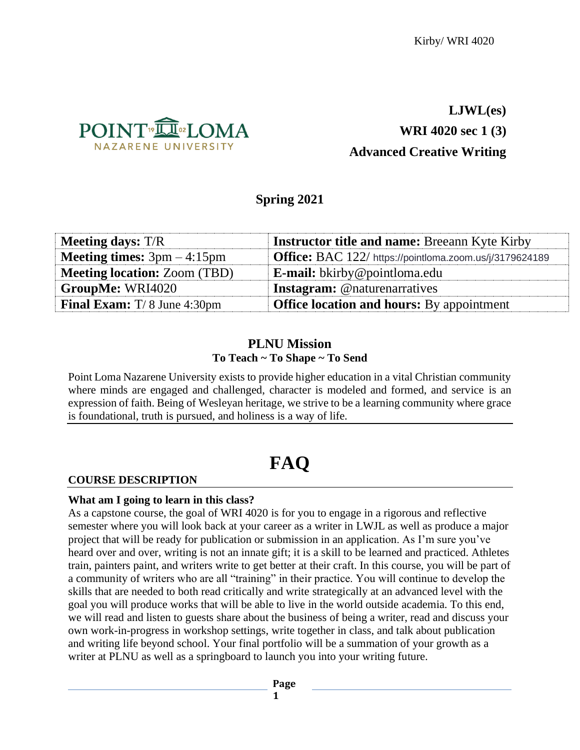

# **LJWL(es) WRI 4020 sec 1 (3) Advanced Creative Writing**

# **Spring 2021**

| <b>Meeting days:</b> T/R             | <b>Instructor title and name: Breeann Kyte Kirby</b>           |
|--------------------------------------|----------------------------------------------------------------|
| <b>Meeting times:</b> $3pm - 4:15pm$ | <b>Office:</b> BAC 122/ https://pointloma.zoom.us/j/3179624189 |
| <b>Meeting location: Zoom (TBD)</b>  | <b>E-mail:</b> bkirby@pointloma.edu                            |
| GroupMe: WRI4020                     | <b>Instagram:</b> @naturenarratives                            |
| <b>Final Exam:</b> $T/8$ June 4:30pm | <b>Office location and hours:</b> By appointment               |

# **PLNU Mission To Teach ~ To Shape ~ To Send**

Point Loma Nazarene University exists to provide higher education in a vital Christian community where minds are engaged and challenged, character is modeled and formed, and service is an expression of faith. Being of Wesleyan heritage, we strive to be a learning community where grace is foundational, truth is pursued, and holiness is a way of life.

# **FAQ**

# **COURSE DESCRIPTION**

# **What am I going to learn in this class?**

As a capstone course, the goal of WRI 4020 is for you to engage in a rigorous and reflective semester where you will look back at your career as a writer in LWJL as well as produce a major project that will be ready for publication or submission in an application. As I'm sure you've heard over and over, writing is not an innate gift; it is a skill to be learned and practiced. Athletes train, painters paint, and writers write to get better at their craft. In this course, you will be part of a community of writers who are all "training" in their practice. You will continue to develop the skills that are needed to both read critically and write strategically at an advanced level with the goal you will produce works that will be able to live in the world outside academia. To this end, we will read and listen to guests share about the business of being a writer, read and discuss your own work-in-progress in workshop settings, write together in class, and talk about publication and writing life beyond school. Your final portfolio will be a summation of your growth as a writer at PLNU as well as a springboard to launch you into your writing future.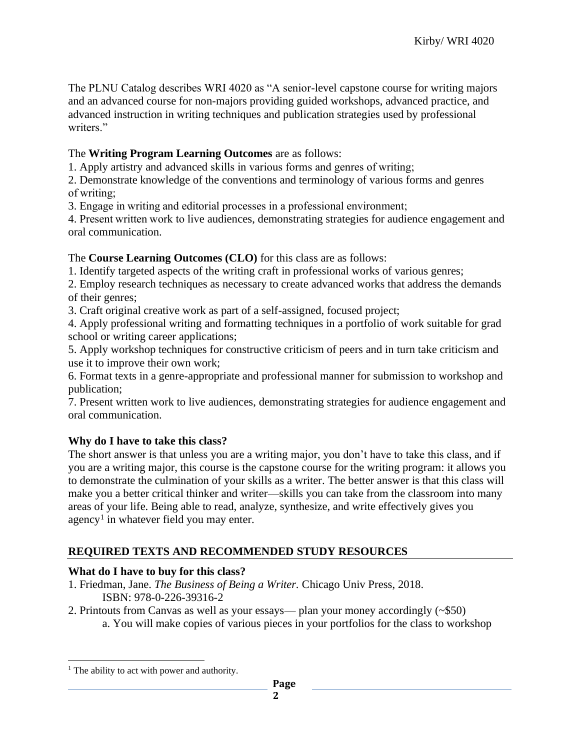The PLNU Catalog describes WRI 4020 as "A senior-level capstone course for writing majors and an advanced course for non-majors providing guided workshops, advanced practice, and advanced instruction in writing techniques and publication strategies used by professional writers."

## The **Writing Program Learning Outcomes** are as follows:

1. Apply artistry and advanced skills in various forms and genres of writing;

2. Demonstrate knowledge of the conventions and terminology of various forms and genres of writing;

3. Engage in writing and editorial processes in a professional environment;

4. Present written work to live audiences, demonstrating strategies for audience engagement and oral communication.

## The **Course Learning Outcomes (CLO)** for this class are as follows:

1. Identify targeted aspects of the writing craft in professional works of various genres;

2. Employ research techniques as necessary to create advanced works that address the demands of their genres;

3. Craft original creative work as part of a self-assigned, focused project;

4. Apply professional writing and formatting techniques in a portfolio of work suitable for grad school or writing career applications;

5. Apply workshop techniques for constructive criticism of peers and in turn take criticism and use it to improve their own work;

6. Format texts in a genre-appropriate and professional manner for submission to workshop and publication;

7. Present written work to live audiences, demonstrating strategies for audience engagement and oral communication.

## **Why do I have to take this class?**

The short answer is that unless you are a writing major, you don't have to take this class, and if you are a writing major, this course is the capstone course for the writing program: it allows you to demonstrate the culmination of your skills as a writer. The better answer is that this class will make you a better critical thinker and writer—skills you can take from the classroom into many areas of your life. Being able to read, analyze, synthesize, and write effectively gives you agency<sup>1</sup> in whatever field you may enter.

# **REQUIRED TEXTS AND RECOMMENDED STUDY RESOURCES**

## **What do I have to buy for this class?**

- 1. Friedman, Jane. *The Business of Being a Writer.* Chicago Univ Press, 2018. ISBN: 978-0-226-39316-2
- 2. Printouts from Canvas as well as your essays— plan your money accordingly (~\$50) a. You will make copies of various pieces in your portfolios for the class to workshop

<sup>&</sup>lt;sup>1</sup> The ability to act with power and authority.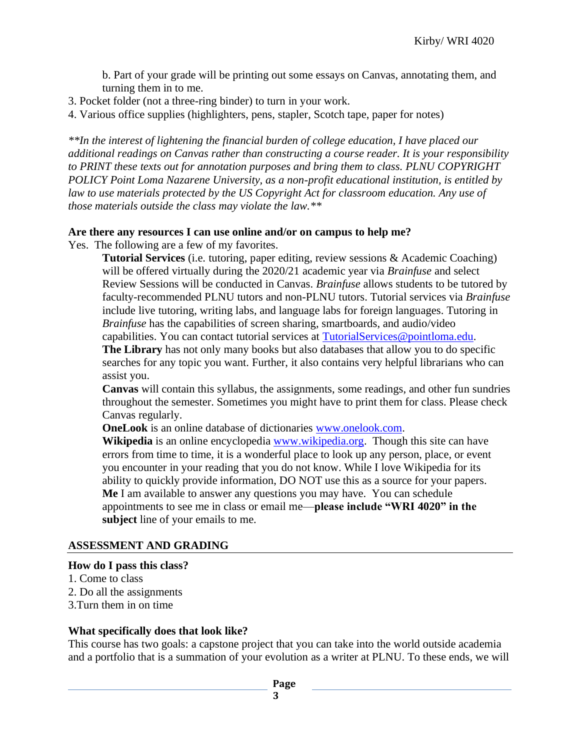b. Part of your grade will be printing out some essays on Canvas, annotating them, and turning them in to me.

- 3. Pocket folder (not a three-ring binder) to turn in your work.
- 4. Various office supplies (highlighters, pens, stapler, Scotch tape, paper for notes)

*\*\*In the interest of lightening the financial burden of college education, I have placed our additional readings on Canvas rather than constructing a course reader. It is your responsibility to PRINT these texts out for annotation purposes and bring them to class. PLNU COPYRIGHT POLICY Point Loma Nazarene University, as a non-profit educational institution, is entitled by law to use materials protected by the US Copyright Act for classroom education. Any use of those materials outside the class may violate the law.\*\**

## **Are there any resources I can use online and/or on campus to help me?**

Yes. The following are a few of my favorites.

**Tutorial Services** (i.e. tutoring, paper editing, review sessions & Academic Coaching) will be offered virtually during the 2020/21 academic year via *Brainfuse* and select Review Sessions will be conducted in Canvas. *Brainfuse* allows students to be tutored by faculty-recommended PLNU tutors and non-PLNU tutors. Tutorial services via *Brainfuse* include live tutoring, writing labs, and language labs for foreign languages. Tutoring in *Brainfuse* has the capabilities of screen sharing, smartboards, and audio/video capabilities. You can contact tutorial services at [TutorialServices@pointloma.edu.](mailto:TutorialServices@pointloma.edu)

**The Library** has not only many books but also databases that allow you to do specific searches for any topic you want. Further, it also contains very helpful librarians who can assist you.

**Canvas** will contain this syllabus, the assignments, some readings, and other fun sundries throughout the semester. Sometimes you might have to print them for class. Please check Canvas regularly.

**OneLook** is an online database of dictionaries [www.onelook.com.](http://www.onelook.com/)

**Wikipedia** is an online encyclopedia [www.wikipedia.org.](http://www.wikipedia.org/) Though this site can have errors from time to time, it is a wonderful place to look up any person, place, or event you encounter in your reading that you do not know. While I love Wikipedia for its ability to quickly provide information, DO NOT use this as a source for your papers. **Me** I am available to answer any questions you may have. You can schedule appointments to see me in class or email me—**please include "WRI 4020" in the subject** line of your emails to me.

#### **ASSESSMENT AND GRADING**

#### **How do I pass this class?**

- 1. Come to class
- 2. Do all the assignments
- 3.Turn them in on time

#### **What specifically does that look like?**

This course has two goals: a capstone project that you can take into the world outside academia and a portfolio that is a summation of your evolution as a writer at PLNU. To these ends, we will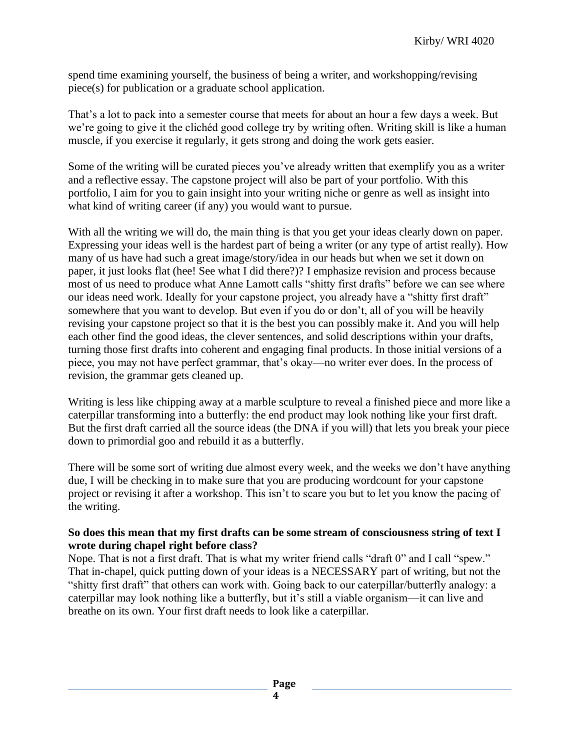spend time examining yourself, the business of being a writer, and workshopping/revising piece(s) for publication or a graduate school application.

That's a lot to pack into a semester course that meets for about an hour a few days a week. But we're going to give it the clichéd good college try by writing often. Writing skill is like a human muscle, if you exercise it regularly, it gets strong and doing the work gets easier.

Some of the writing will be curated pieces you've already written that exemplify you as a writer and a reflective essay. The capstone project will also be part of your portfolio. With this portfolio, I aim for you to gain insight into your writing niche or genre as well as insight into what kind of writing career (if any) you would want to pursue.

With all the writing we will do, the main thing is that you get your ideas clearly down on paper. Expressing your ideas well is the hardest part of being a writer (or any type of artist really). How many of us have had such a great image/story/idea in our heads but when we set it down on paper, it just looks flat (hee! See what I did there?)? I emphasize revision and process because most of us need to produce what Anne Lamott calls "shitty first drafts" before we can see where our ideas need work. Ideally for your capstone project, you already have a "shitty first draft" somewhere that you want to develop. But even if you do or don't, all of you will be heavily revising your capstone project so that it is the best you can possibly make it. And you will help each other find the good ideas, the clever sentences, and solid descriptions within your drafts, turning those first drafts into coherent and engaging final products. In those initial versions of a piece, you may not have perfect grammar, that's okay—no writer ever does. In the process of revision, the grammar gets cleaned up.

Writing is less like chipping away at a marble sculpture to reveal a finished piece and more like a caterpillar transforming into a butterfly: the end product may look nothing like your first draft. But the first draft carried all the source ideas (the DNA if you will) that lets you break your piece down to primordial goo and rebuild it as a butterfly.

There will be some sort of writing due almost every week, and the weeks we don't have anything due, I will be checking in to make sure that you are producing wordcount for your capstone project or revising it after a workshop. This isn't to scare you but to let you know the pacing of the writing.

## **So does this mean that my first drafts can be some stream of consciousness string of text I wrote during chapel right before class?**

Nope. That is not a first draft. That is what my writer friend calls "draft 0" and I call "spew." That in-chapel, quick putting down of your ideas is a NECESSARY part of writing, but not the "shitty first draft" that others can work with. Going back to our caterpillar/butterfly analogy: a caterpillar may look nothing like a butterfly, but it's still a viable organism—it can live and breathe on its own. Your first draft needs to look like a caterpillar.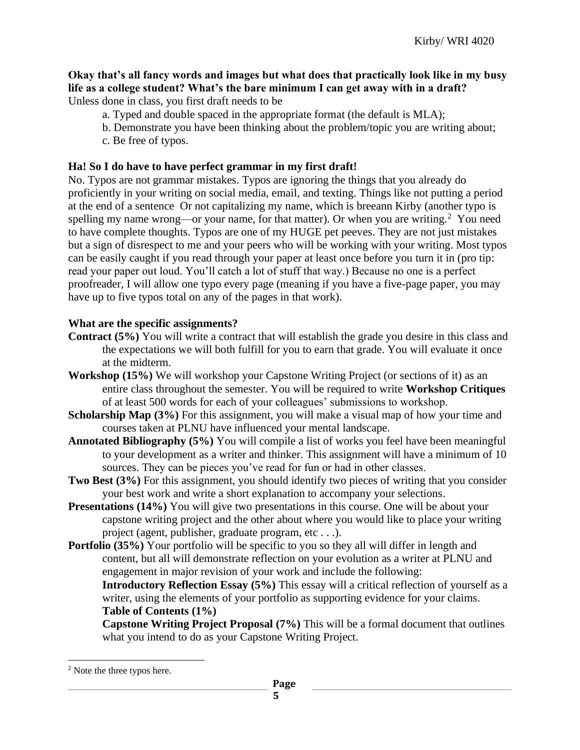# **Okay that's all fancy words and images but what does that practically look like in my busy life as a college student? What's the bare minimum I can get away with in a draft?**

Unless done in class, you first draft needs to be

- a. Typed and double spaced in the appropriate format (the default is MLA);
- b. Demonstrate you have been thinking about the problem/topic you are writing about;
- c. Be free of typos.

# **Ha! So I do have to have perfect grammar in my first draft!**

No. Typos are not grammar mistakes. Typos are ignoring the things that you already do proficiently in your writing on social media, email, and texting. Things like not putting a period at the end of a sentence Or not capitalizing my name, which is breeann Kirby (another typo is spelling my name wrong—or your name, for that matter). Or when you are writing.<sup>2</sup> You need to have complete thoughts. Typos are one of my HUGE pet peeves. They are not just mistakes but a sign of disrespect to me and your peers who will be working with your writing. Most typos can be easily caught if you read through your paper at least once before you turn it in (pro tip: read your paper out loud. You'll catch a lot of stuff that way.) Because no one is a perfect proofreader, I will allow one typo every page (meaning if you have a five-page paper, you may have up to five typos total on any of the pages in that work).

# **What are the specific assignments?**

- **Contract (5%)** You will write a contract that will establish the grade you desire in this class and the expectations we will both fulfill for you to earn that grade. You will evaluate it once at the midterm.
- **Workshop (15%)** We will workshop your Capstone Writing Project (or sections of it) as an entire class throughout the semester. You will be required to write **Workshop Critiques** of at least 500 words for each of your colleagues' submissions to workshop.
- **Scholarship Map** (3%) For this assignment, you will make a visual map of how your time and courses taken at PLNU have influenced your mental landscape.
- **Annotated Bibliography (5%)** You will compile a list of works you feel have been meaningful to your development as a writer and thinker. This assignment will have a minimum of 10 sources. They can be pieces you've read for fun or had in other classes.
- **Two Best (3%)** For this assignment, you should identify two pieces of writing that you consider your best work and write a short explanation to accompany your selections.
- **Presentations** (14%) You will give two presentations in this course. One will be about your capstone writing project and the other about where you would like to place your writing project (agent, publisher, graduate program, etc . . .).
- **Portfolio** (35%) Your portfolio will be specific to you so they all will differ in length and content, but all will demonstrate reflection on your evolution as a writer at PLNU and engagement in major revision of your work and include the following:

**Introductory Reflection Essay (5%)** This essay will a critical reflection of yourself as a writer, using the elements of your portfolio as supporting evidence for your claims. **Table of Contents (1%)**

**Capstone Writing Project Proposal (7%)** This will be a formal document that outlines what you intend to do as your Capstone Writing Project.

<sup>2</sup> Note the three typos here.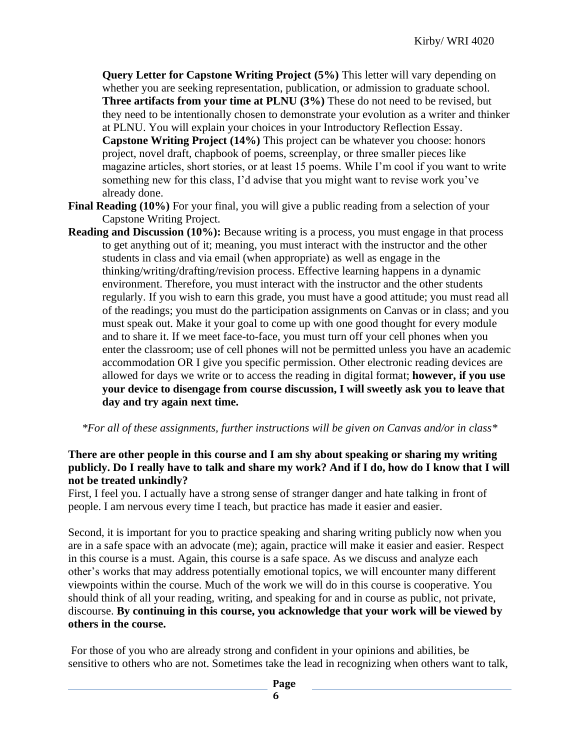**Query Letter for Capstone Writing Project (5%)** This letter will vary depending on whether you are seeking representation, publication, or admission to graduate school. **Three artifacts from your time at PLNU (3%)** These do not need to be revised, but they need to be intentionally chosen to demonstrate your evolution as a writer and thinker at PLNU. You will explain your choices in your Introductory Reflection Essay. **Capstone Writing Project (14%)** This project can be whatever you choose: honors project, novel draft, chapbook of poems, screenplay, or three smaller pieces like magazine articles, short stories, or at least 15 poems. While I'm cool if you want to write something new for this class, I'd advise that you might want to revise work you've already done.

- **Final Reading (10%)** For your final, you will give a public reading from a selection of your Capstone Writing Project.
- **Reading and Discussion (10%):** Because writing is a process, you must engage in that process to get anything out of it; meaning, you must interact with the instructor and the other students in class and via email (when appropriate) as well as engage in the thinking/writing/drafting/revision process. Effective learning happens in a dynamic environment. Therefore, you must interact with the instructor and the other students regularly. If you wish to earn this grade, you must have a good attitude; you must read all of the readings; you must do the participation assignments on Canvas or in class; and you must speak out. Make it your goal to come up with one good thought for every module and to share it. If we meet face-to-face, you must turn off your cell phones when you enter the classroom; use of cell phones will not be permitted unless you have an academic accommodation OR I give you specific permission. Other electronic reading devices are allowed for days we write or to access the reading in digital format; **however, if you use your device to disengage from course discussion, I will sweetly ask you to leave that day and try again next time.**

*\*For all of these assignments, further instructions will be given on Canvas and/or in class\**

## **There are other people in this course and I am shy about speaking or sharing my writing publicly. Do I really have to talk and share my work? And if I do, how do I know that I will not be treated unkindly?**

First, I feel you. I actually have a strong sense of stranger danger and hate talking in front of people. I am nervous every time I teach, but practice has made it easier and easier.

Second, it is important for you to practice speaking and sharing writing publicly now when you are in a safe space with an advocate (me); again, practice will make it easier and easier. Respect in this course is a must. Again, this course is a safe space. As we discuss and analyze each other's works that may address potentially emotional topics, we will encounter many different viewpoints within the course. Much of the work we will do in this course is cooperative. You should think of all your reading, writing, and speaking for and in course as public, not private, discourse. **By continuing in this course, you acknowledge that your work will be viewed by others in the course.**

For those of you who are already strong and confident in your opinions and abilities, be sensitive to others who are not. Sometimes take the lead in recognizing when others want to talk,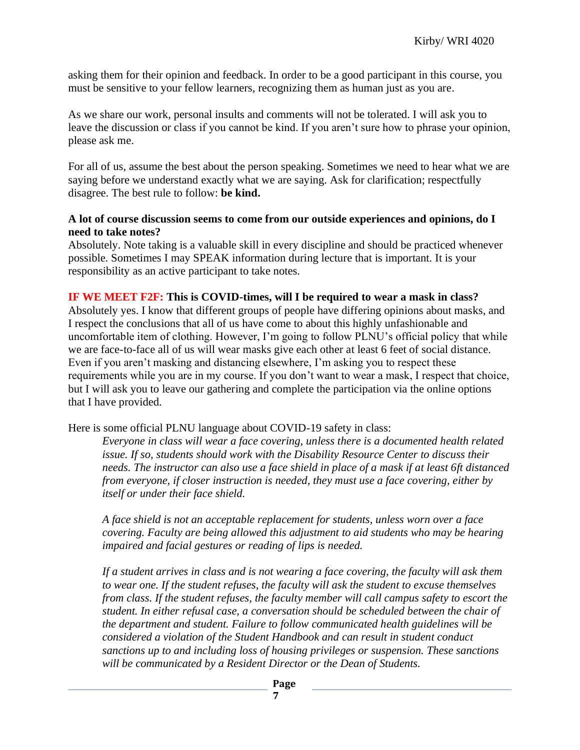asking them for their opinion and feedback. In order to be a good participant in this course, you must be sensitive to your fellow learners, recognizing them as human just as you are.

As we share our work, personal insults and comments will not be tolerated. I will ask you to leave the discussion or class if you cannot be kind. If you aren't sure how to phrase your opinion, please ask me.

For all of us, assume the best about the person speaking. Sometimes we need to hear what we are saying before we understand exactly what we are saying. Ask for clarification; respectfully disagree. The best rule to follow: **be kind.**

## **A lot of course discussion seems to come from our outside experiences and opinions, do I need to take notes?**

Absolutely. Note taking is a valuable skill in every discipline and should be practiced whenever possible. Sometimes I may SPEAK information during lecture that is important. It is your responsibility as an active participant to take notes.

## **IF WE MEET F2F: This is COVID-times, will I be required to wear a mask in class?**

Absolutely yes. I know that different groups of people have differing opinions about masks, and I respect the conclusions that all of us have come to about this highly unfashionable and uncomfortable item of clothing. However, I'm going to follow PLNU's official policy that while we are face-to-face all of us will wear masks give each other at least 6 feet of social distance. Even if you aren't masking and distancing elsewhere, I'm asking you to respect these requirements while you are in my course. If you don't want to wear a mask, I respect that choice, but I will ask you to leave our gathering and complete the participation via the online options that I have provided.

Here is some official PLNU language about COVID-19 safety in class:

*Everyone in class will wear a face covering, unless there is a documented health related issue. If so, students should work with the Disability Resource Center to discuss their needs. The instructor can also use a face shield in place of a mask if at least 6ft distanced from everyone, if closer instruction is needed, they must use a face covering, either by itself or under their face shield.* 

*A face shield is not an acceptable replacement for students, unless worn over a face covering. Faculty are being allowed this adjustment to aid students who may be hearing impaired and facial gestures or reading of lips is needed.* 

*If a student arrives in class and is not wearing a face covering, the faculty will ask them to wear one. If the student refuses, the faculty will ask the student to excuse themselves from class. If the student refuses, the faculty member will call campus safety to escort the student. In either refusal case, a conversation should be scheduled between the chair of the department and student. Failure to follow communicated health guidelines will be considered a violation of the Student Handbook and can result in student conduct sanctions up to and including loss of housing privileges or suspension. These sanctions will be communicated by a Resident Director or the Dean of Students.*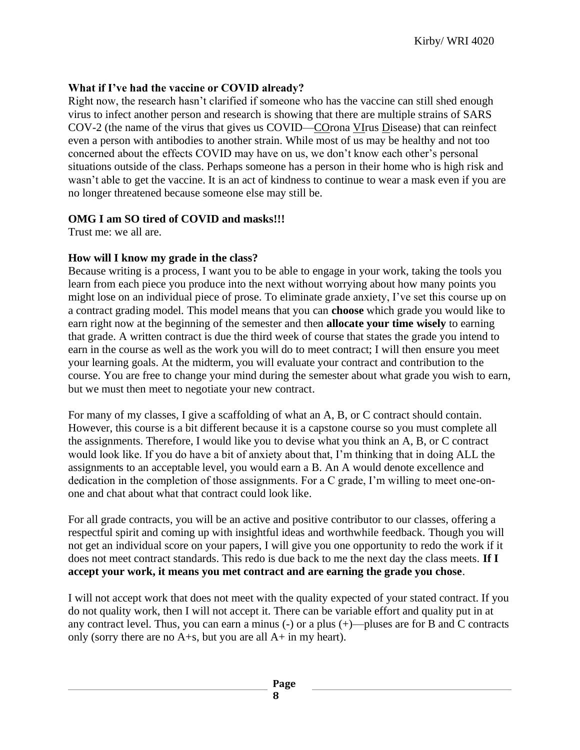# **What if I've had the vaccine or COVID already?**

Right now, the research hasn't clarified if someone who has the vaccine can still shed enough virus to infect another person and research is showing that there are multiple strains of SARS COV-2 (the name of the virus that gives us COVID—COrona VIrus Disease) that can reinfect even a person with antibodies to another strain. While most of us may be healthy and not too concerned about the effects COVID may have on us, we don't know each other's personal situations outside of the class. Perhaps someone has a person in their home who is high risk and wasn't able to get the vaccine. It is an act of kindness to continue to wear a mask even if you are no longer threatened because someone else may still be.

# **OMG I am SO tired of COVID and masks!!!**

Trust me: we all are.

## **How will I know my grade in the class?**

Because writing is a process, I want you to be able to engage in your work, taking the tools you learn from each piece you produce into the next without worrying about how many points you might lose on an individual piece of prose. To eliminate grade anxiety, I've set this course up on a contract grading model. This model means that you can **choose** which grade you would like to earn right now at the beginning of the semester and then **allocate your time wisely** to earning that grade. A written contract is due the third week of course that states the grade you intend to earn in the course as well as the work you will do to meet contract; I will then ensure you meet your learning goals. At the midterm, you will evaluate your contract and contribution to the course. You are free to change your mind during the semester about what grade you wish to earn, but we must then meet to negotiate your new contract.

For many of my classes, I give a scaffolding of what an A, B, or C contract should contain. However, this course is a bit different because it is a capstone course so you must complete all the assignments. Therefore, I would like you to devise what you think an A, B, or C contract would look like. If you do have a bit of anxiety about that, I'm thinking that in doing ALL the assignments to an acceptable level, you would earn a B. An A would denote excellence and dedication in the completion of those assignments. For a C grade, I'm willing to meet one-onone and chat about what that contract could look like.

For all grade contracts, you will be an active and positive contributor to our classes, offering a respectful spirit and coming up with insightful ideas and worthwhile feedback. Though you will not get an individual score on your papers, I will give you one opportunity to redo the work if it does not meet contract standards. This redo is due back to me the next day the class meets. **If I accept your work, it means you met contract and are earning the grade you chose**.

I will not accept work that does not meet with the quality expected of your stated contract. If you do not quality work, then I will not accept it. There can be variable effort and quality put in at any contract level. Thus, you can earn a minus (-) or a plus (+)—pluses are for B and C contracts only (sorry there are no A+s, but you are all A+ in my heart).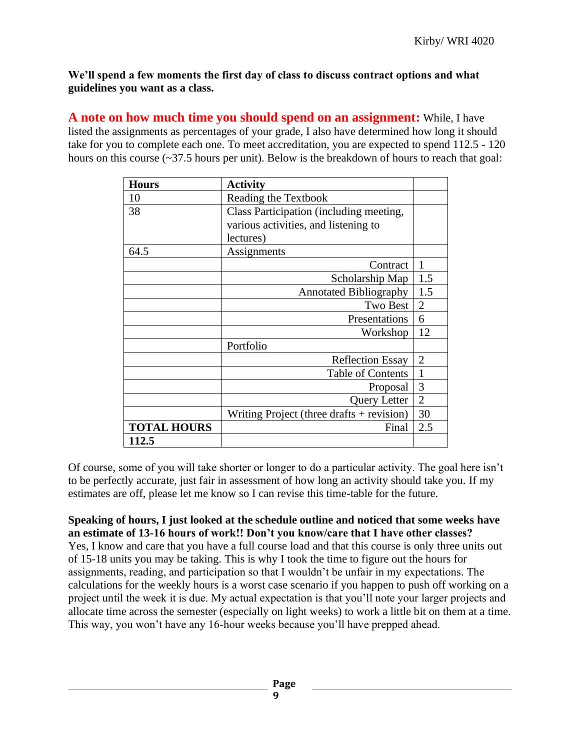**We'll spend a few moments the first day of class to discuss contract options and what guidelines you want as a class.** 

**A note on how much time you should spend on an assignment:** While, I have listed the assignments as percentages of your grade, I also have determined how long it should take for you to complete each one. To meet accreditation, you are expected to spend 112.5 - 120 hours on this course  $(\sim]37.5$  hours per unit). Below is the breakdown of hours to reach that goal:

| <b>Hours</b>       | <b>Activity</b>                           |                |
|--------------------|-------------------------------------------|----------------|
| 10                 | Reading the Textbook                      |                |
| 38                 | Class Participation (including meeting,   |                |
|                    | various activities, and listening to      |                |
|                    | lectures)                                 |                |
| 64.5               | Assignments                               |                |
|                    | Contract                                  | 1              |
|                    | Scholarship Map                           | 1.5            |
|                    | <b>Annotated Bibliography</b>             | 1.5            |
|                    | Two Best                                  | $\overline{2}$ |
|                    | Presentations                             | 6              |
|                    | Workshop                                  | 12             |
|                    | Portfolio                                 |                |
|                    | <b>Reflection Essay</b>                   | $\overline{2}$ |
|                    | <b>Table of Contents</b>                  | 1              |
|                    | Proposal                                  | 3              |
|                    | Query Letter                              | $\overline{2}$ |
|                    | Writing Project (three drafts + revision) | 30             |
| <b>TOTAL HOURS</b> | Final                                     | 2.5            |
| 112.5              |                                           |                |

Of course, some of you will take shorter or longer to do a particular activity. The goal here isn't to be perfectly accurate, just fair in assessment of how long an activity should take you. If my estimates are off, please let me know so I can revise this time-table for the future.

**Speaking of hours, I just looked at the schedule outline and noticed that some weeks have an estimate of 13-16 hours of work!! Don't you know/care that I have other classes?** Yes, I know and care that you have a full course load and that this course is only three units out of 15-18 units you may be taking. This is why I took the time to figure out the hours for assignments, reading, and participation so that I wouldn't be unfair in my expectations. The calculations for the weekly hours is a worst case scenario if you happen to push off working on a project until the week it is due. My actual expectation is that you'll note your larger projects and allocate time across the semester (especially on light weeks) to work a little bit on them at a time. This way, you won't have any 16-hour weeks because you'll have prepped ahead.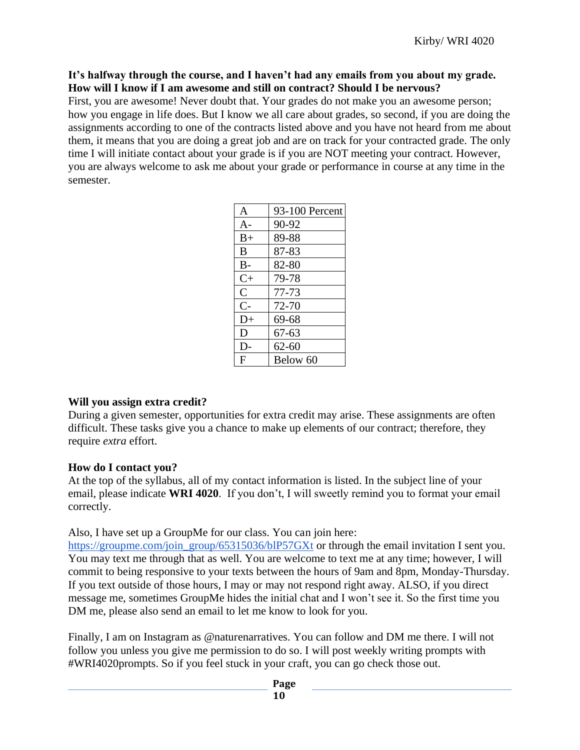## **It's halfway through the course, and I haven't had any emails from you about my grade. How will I know if I am awesome and still on contract? Should I be nervous?**

First, you are awesome! Never doubt that. Your grades do not make you an awesome person; how you engage in life does. But I know we all care about grades, so second, if you are doing the assignments according to one of the contracts listed above and you have not heard from me about them, it means that you are doing a great job and are on track for your contracted grade. The only time I will initiate contact about your grade is if you are NOT meeting your contract. However, you are always welcome to ask me about your grade or performance in course at any time in the semester.

| $\mathbf{A}$ | 93-100 Percent |
|--------------|----------------|
| $A -$        | 90-92          |
| $B+$         | 89-88          |
| B            | 87-83          |
| $B -$        | 82-80          |
| $C+$         | 79-78          |
| $\mathsf{C}$ | 77-73          |
| $C-$         | 72-70          |
| $D+$         | 69-68          |
| D            | 67-63          |
| D-           | $62 - 60$      |
| F            | Below 60       |

## **Will you assign extra credit?**

During a given semester, opportunities for extra credit may arise. These assignments are often difficult. These tasks give you a chance to make up elements of our contract; therefore, they require *extra* effort.

## **How do I contact you?**

At the top of the syllabus, all of my contact information is listed. In the subject line of your email, please indicate **WRI 4020**. If you don't, I will sweetly remind you to format your email correctly.

Also, I have set up a GroupMe for our class. You can join here:

[https://groupme.com/join\\_group/65315036/blP57GXt](https://groupme.com/join_group/65315036/blP57GXt) or through the email invitation I sent you. You may text me through that as well. You are welcome to text me at any time; however, I will commit to being responsive to your texts between the hours of 9am and 8pm, Monday-Thursday. If you text outside of those hours, I may or may not respond right away. ALSO, if you direct message me, sometimes GroupMe hides the initial chat and I won't see it. So the first time you DM me, please also send an email to let me know to look for you.

Finally, I am on Instagram as @naturenarratives. You can follow and DM me there. I will not follow you unless you give me permission to do so. I will post weekly writing prompts with #WRI4020prompts. So if you feel stuck in your craft, you can go check those out.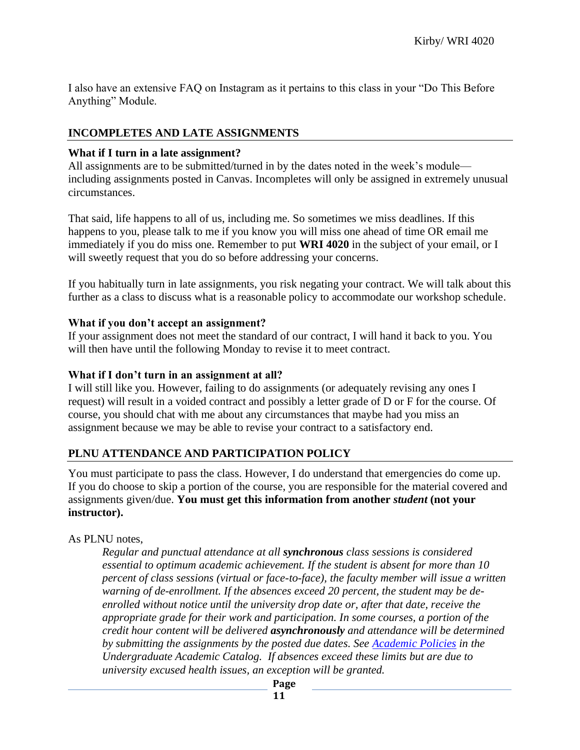I also have an extensive FAQ on Instagram as it pertains to this class in your "Do This Before Anything" Module.

# **INCOMPLETES AND LATE ASSIGNMENTS**

## **What if I turn in a late assignment?**

All assignments are to be submitted/turned in by the dates noted in the week's module including assignments posted in Canvas. Incompletes will only be assigned in extremely unusual circumstances.

That said, life happens to all of us, including me. So sometimes we miss deadlines. If this happens to you, please talk to me if you know you will miss one ahead of time OR email me immediately if you do miss one. Remember to put **WRI 4020** in the subject of your email, or I will sweetly request that you do so before addressing your concerns.

If you habitually turn in late assignments, you risk negating your contract. We will talk about this further as a class to discuss what is a reasonable policy to accommodate our workshop schedule.

## **What if you don't accept an assignment?**

If your assignment does not meet the standard of our contract, I will hand it back to you. You will then have until the following Monday to revise it to meet contract.

## **What if I don't turn in an assignment at all?**

I will still like you. However, failing to do assignments (or adequately revising any ones I request) will result in a voided contract and possibly a letter grade of D or F for the course. Of course, you should chat with me about any circumstances that maybe had you miss an assignment because we may be able to revise your contract to a satisfactory end.

# **PLNU ATTENDANCE AND PARTICIPATION POLICY**

You must participate to pass the class. However, I do understand that emergencies do come up. If you do choose to skip a portion of the course, you are responsible for the material covered and assignments given/due. **You must get this information from another** *student* **(not your instructor).** 

## As PLNU notes,

*Regular and punctual attendance at all synchronous class sessions is considered essential to optimum academic achievement. If the student is absent for more than 10 percent of class sessions (virtual or face-to-face), the faculty member will issue a written warning of de-enrollment. If the absences exceed 20 percent, the student may be deenrolled without notice until the university drop date or, after that date, receive the appropriate grade for their work and participation. In some courses, a portion of the credit hour content will be delivered asynchronously and attendance will be determined by submitting the assignments by the posted due dates. See [Academic Policies](https://catalog.pointloma.edu/content.php?catoid=46&navoid=2650#Class_Attendance) in the Undergraduate Academic Catalog. If absences exceed these limits but are due to university excused health issues, an exception will be granted.*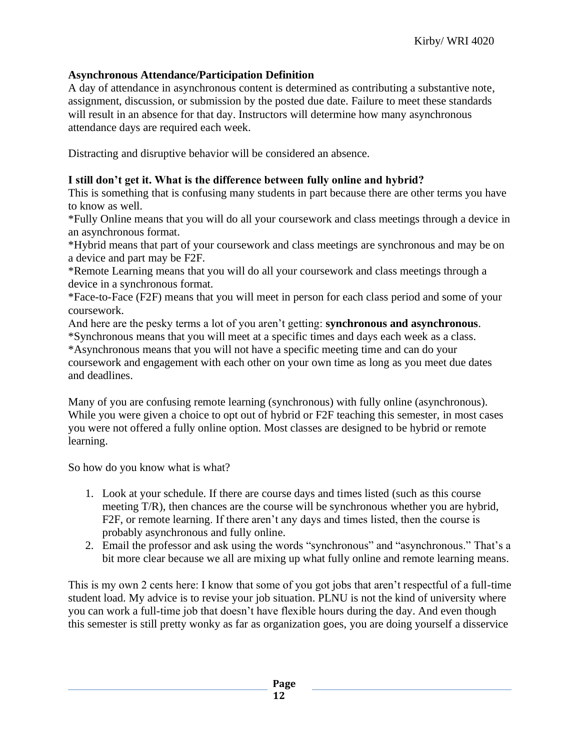# **Asynchronous Attendance/Participation Definition**

A day of attendance in asynchronous content is determined as contributing a substantive note, assignment, discussion, or submission by the posted due date. Failure to meet these standards will result in an absence for that day. Instructors will determine how many asynchronous attendance days are required each week.

Distracting and disruptive behavior will be considered an absence.

## **I still don't get it. What is the difference between fully online and hybrid?**

This is something that is confusing many students in part because there are other terms you have to know as well.

\*Fully Online means that you will do all your coursework and class meetings through a device in an asynchronous format.

\*Hybrid means that part of your coursework and class meetings are synchronous and may be on a device and part may be F2F.

\*Remote Learning means that you will do all your coursework and class meetings through a device in a synchronous format.

\*Face-to-Face (F2F) means that you will meet in person for each class period and some of your coursework.

And here are the pesky terms a lot of you aren't getting: **synchronous and asynchronous**. \*Synchronous means that you will meet at a specific times and days each week as a class. \*Asynchronous means that you will not have a specific meeting time and can do your

coursework and engagement with each other on your own time as long as you meet due dates and deadlines.

Many of you are confusing remote learning (synchronous) with fully online (asynchronous). While you were given a choice to opt out of hybrid or F2F teaching this semester, in most cases you were not offered a fully online option. Most classes are designed to be hybrid or remote learning.

So how do you know what is what?

- 1. Look at your schedule. If there are course days and times listed (such as this course meeting T/R), then chances are the course will be synchronous whether you are hybrid, F2F, or remote learning. If there aren't any days and times listed, then the course is probably asynchronous and fully online.
- 2. Email the professor and ask using the words "synchronous" and "asynchronous." That's a bit more clear because we all are mixing up what fully online and remote learning means.

This is my own 2 cents here: I know that some of you got jobs that aren't respectful of a full-time student load. My advice is to revise your job situation. PLNU is not the kind of university where you can work a full-time job that doesn't have flexible hours during the day. And even though this semester is still pretty wonky as far as organization goes, you are doing yourself a disservice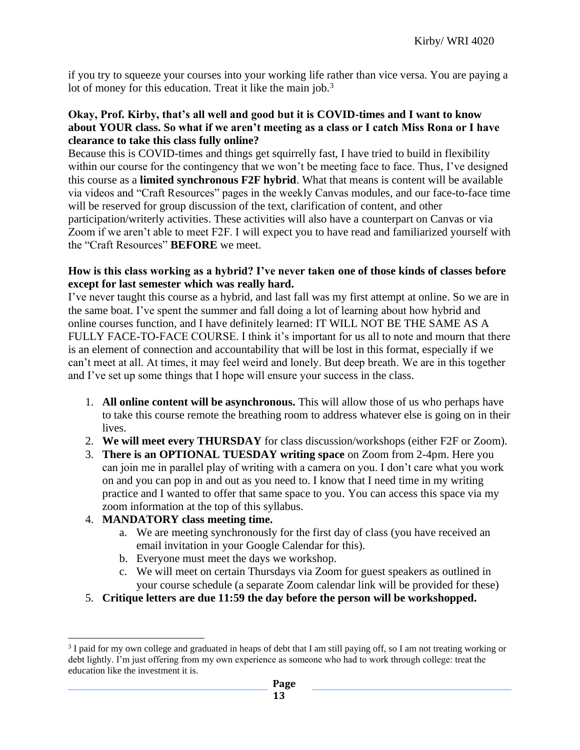if you try to squeeze your courses into your working life rather than vice versa. You are paying a lot of money for this education. Treat it like the main job.<sup>3</sup>

## **Okay, Prof. Kirby, that's all well and good but it is COVID-times and I want to know about YOUR class. So what if we aren't meeting as a class or I catch Miss Rona or I have clearance to take this class fully online?**

Because this is COVID-times and things get squirrelly fast, I have tried to build in flexibility within our course for the contingency that we won't be meeting face to face. Thus, I've designed this course as a **limited synchronous F2F hybrid**. What that means is content will be available via videos and "Craft Resources" pages in the weekly Canvas modules, and our face-to-face time will be reserved for group discussion of the text, clarification of content, and other participation/writerly activities. These activities will also have a counterpart on Canvas or via Zoom if we aren't able to meet F2F. I will expect you to have read and familiarized yourself with the "Craft Resources" **BEFORE** we meet.

## **How is this class working as a hybrid? I've never taken one of those kinds of classes before except for last semester which was really hard.**

I've never taught this course as a hybrid, and last fall was my first attempt at online. So we are in the same boat. I've spent the summer and fall doing a lot of learning about how hybrid and online courses function, and I have definitely learned: IT WILL NOT BE THE SAME AS A FULLY FACE-TO-FACE COURSE. I think it's important for us all to note and mourn that there is an element of connection and accountability that will be lost in this format, especially if we can't meet at all. At times, it may feel weird and lonely. But deep breath. We are in this together and I've set up some things that I hope will ensure your success in the class.

- 1. **All online content will be asynchronous.** This will allow those of us who perhaps have to take this course remote the breathing room to address whatever else is going on in their lives.
- 2. **We will meet every THURSDAY** for class discussion/workshops (either F2F or Zoom).
- 3. **There is an OPTIONAL TUESDAY writing space** on Zoom from 2-4pm. Here you can join me in parallel play of writing with a camera on you. I don't care what you work on and you can pop in and out as you need to. I know that I need time in my writing practice and I wanted to offer that same space to you. You can access this space via my zoom information at the top of this syllabus.

## 4. **MANDATORY class meeting time.**

- a. We are meeting synchronously for the first day of class (you have received an email invitation in your Google Calendar for this).
- b. Everyone must meet the days we workshop.
- c. We will meet on certain Thursdays via Zoom for guest speakers as outlined in your course schedule (a separate Zoom calendar link will be provided for these)
- 5. **Critique letters are due 11:59 the day before the person will be workshopped.**

<sup>&</sup>lt;sup>3</sup> I paid for my own college and graduated in heaps of debt that I am still paying off, so I am not treating working or debt lightly. I'm just offering from my own experience as someone who had to work through college: treat the education like the investment it is.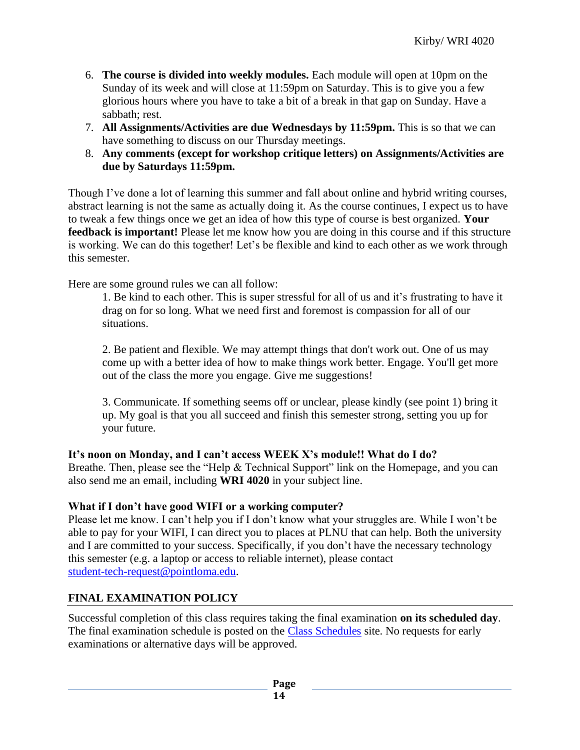- 6. **The course is divided into weekly modules.** Each module will open at 10pm on the Sunday of its week and will close at 11:59pm on Saturday. This is to give you a few glorious hours where you have to take a bit of a break in that gap on Sunday. Have a sabbath; rest.
- 7. **All Assignments/Activities are due Wednesdays by 11:59pm.** This is so that we can have something to discuss on our Thursday meetings.
- 8. **Any comments (except for workshop critique letters) on Assignments/Activities are due by Saturdays 11:59pm.**

Though I've done a lot of learning this summer and fall about online and hybrid writing courses, abstract learning is not the same as actually doing it. As the course continues, I expect us to have to tweak a few things once we get an idea of how this type of course is best organized. **Your feedback is important!** Please let me know how you are doing in this course and if this structure is working. We can do this together! Let's be flexible and kind to each other as we work through this semester.

Here are some ground rules we can all follow:

1. Be kind to each other. This is super stressful for all of us and it's frustrating to have it drag on for so long. What we need first and foremost is compassion for all of our situations.

2. Be patient and flexible. We may attempt things that don't work out. One of us may come up with a better idea of how to make things work better. Engage. You'll get more out of the class the more you engage. Give me suggestions!

3. Communicate. If something seems off or unclear, please kindly (see point 1) bring it up. My goal is that you all succeed and finish this semester strong, setting you up for your future.

# **It's noon on Monday, and I can't access WEEK X's module!! What do I do?**

Breathe. Then, please see the "Help & Technical Support" link on the Homepage, and you can also send me an email, including **WRI 4020** in your subject line.

# **What if I don't have good WIFI or a working computer?**

Please let me know. I can't help you if I don't know what your struggles are. While I won't be able to pay for your WIFI, I can direct you to places at PLNU that can help. Both the university and I are committed to your success. Specifically, if you don't have the necessary technology this semester (e.g. a laptop or access to reliable internet), please contact [student-tech-request@pointloma.edu.](mailto:student-tech-request@pointloma.edu)

# **FINAL EXAMINATION POLICY**

Successful completion of this class requires taking the final examination **on its scheduled day**. The final examination schedule is posted on the [Class Schedules](http://www.pointloma.edu/experience/academics/class-schedules) site. No requests for early examinations or alternative days will be approved.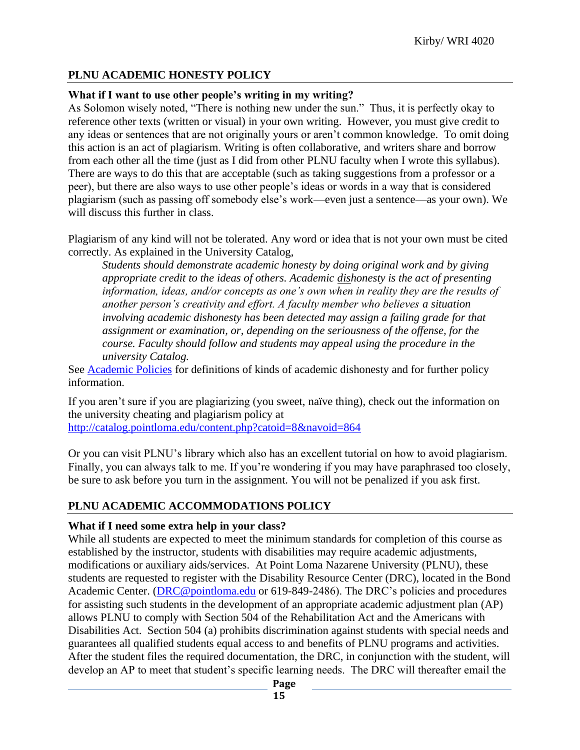# **PLNU ACADEMIC HONESTY POLICY**

# **What if I want to use other people's writing in my writing?**

As Solomon wisely noted, "There is nothing new under the sun." Thus, it is perfectly okay to reference other texts (written or visual) in your own writing. However, you must give credit to any ideas or sentences that are not originally yours or aren't common knowledge. To omit doing this action is an act of plagiarism. Writing is often collaborative, and writers share and borrow from each other all the time (just as I did from other PLNU faculty when I wrote this syllabus). There are ways to do this that are acceptable (such as taking suggestions from a professor or a peer), but there are also ways to use other people's ideas or words in a way that is considered plagiarism (such as passing off somebody else's work—even just a sentence—as your own). We will discuss this further in class.

Plagiarism of any kind will not be tolerated. Any word or idea that is not your own must be cited correctly. As explained in the University Catalog,

*Students should demonstrate academic honesty by doing original work and by giving appropriate credit to the ideas of others. Academic dishonesty is the act of presenting information, ideas, and/or concepts as one's own when in reality they are the results of another person's creativity and effort. A faculty member who believes a situation involving academic dishonesty has been detected may assign a failing grade for that assignment or examination, or, depending on the seriousness of the offense, for the course. Faculty should follow and students may appeal using the procedure in the university Catalog.*

See [Academic Policies](http://catalog.pointloma.edu/content.php?catoid=18&navoid=1278) for definitions of kinds of academic dishonesty and for further policy information.

If you aren't sure if you are plagiarizing (you sweet, naïve thing), check out the information on the university cheating and plagiarism policy at <http://catalog.pointloma.edu/content.php?catoid=8&navoid=864>

Or you can visit PLNU's library which also has an excellent tutorial on how to avoid plagiarism. Finally, you can always talk to me. If you're wondering if you may have paraphrased too closely, be sure to ask before you turn in the assignment. You will not be penalized if you ask first.

## **PLNU ACADEMIC ACCOMMODATIONS POLICY**

## **What if I need some extra help in your class?**

While all students are expected to meet the minimum standards for completion of this course as established by the instructor, students with disabilities may require academic adjustments, modifications or auxiliary aids/services. At Point Loma Nazarene University (PLNU), these students are requested to register with the Disability Resource Center (DRC), located in the Bond Academic Center. [\(DRC@pointloma.edu](mailto:DRC@pointloma.edu) or 619-849-2486). The DRC's policies and procedures for assisting such students in the development of an appropriate academic adjustment plan (AP) allows PLNU to comply with Section 504 of the Rehabilitation Act and the Americans with Disabilities Act. Section 504 (a) prohibits discrimination against students with special needs and guarantees all qualified students equal access to and benefits of PLNU programs and activities. After the student files the required documentation, the DRC, in conjunction with the student, will develop an AP to meet that student's specific learning needs. The DRC will thereafter email the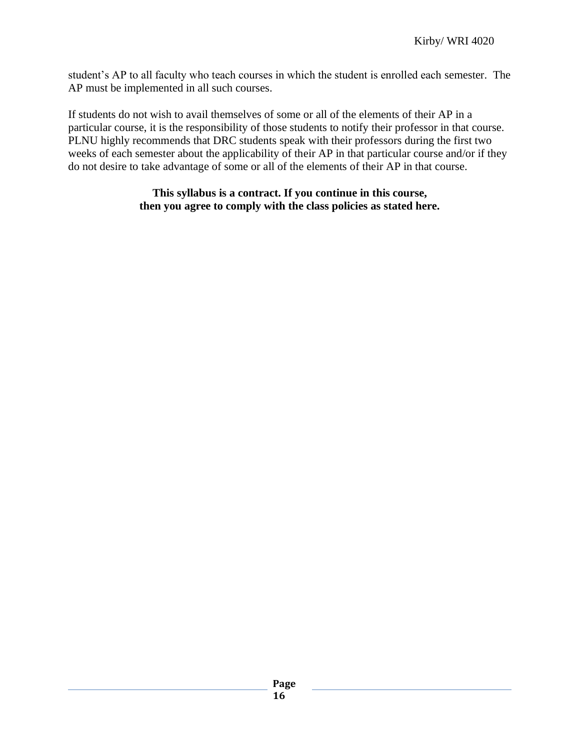student's AP to all faculty who teach courses in which the student is enrolled each semester. The AP must be implemented in all such courses.

If students do not wish to avail themselves of some or all of the elements of their AP in a particular course, it is the responsibility of those students to notify their professor in that course. PLNU highly recommends that DRC students speak with their professors during the first two weeks of each semester about the applicability of their AP in that particular course and/or if they do not desire to take advantage of some or all of the elements of their AP in that course.

## **This syllabus is a contract. If you continue in this course, then you agree to comply with the class policies as stated here.**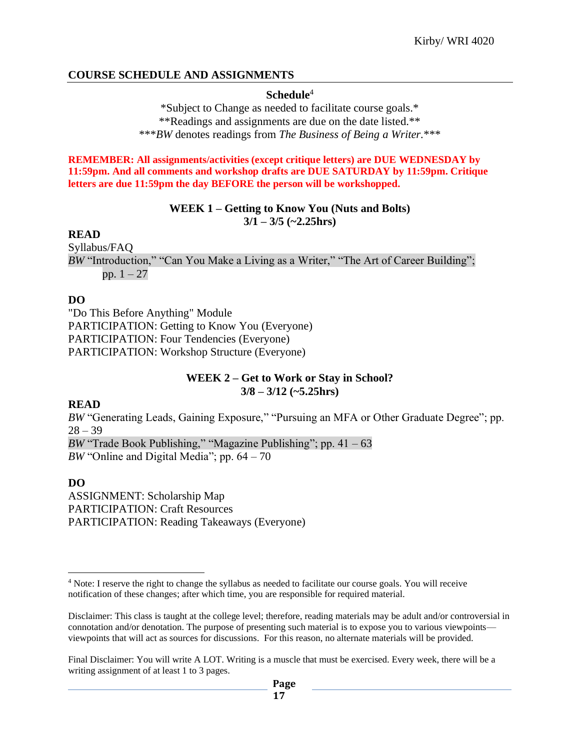## **COURSE SCHEDULE AND ASSIGNMENTS**

#### **Schedule**<sup>4</sup>

\*Subject to Change as needed to facilitate course goals.\* \*\*Readings and assignments are due on the date listed.\*\* \*\*\**BW* denotes readings from *The Business of Being a Writer.*\*\*\*

**REMEMBER: All assignments/activities (except critique letters) are DUE WEDNESDAY by 11:59pm. And all comments and workshop drafts are DUE SATURDAY by 11:59pm. Critique letters are due 11:59pm the day BEFORE the person will be workshopped.**

#### **WEEK 1 – Getting to Know You (Nuts and Bolts) 3/1 – 3/5 (~2.25hrs)**

#### **READ**

Syllabus/FAQ *BW* "Introduction," "Can You Make a Living as a Writer," "The Art of Career Building"; pp.  $1 - 27$ 

## **DO**

"Do This Before Anything" Module PARTICIPATION: Getting to Know You (Everyone) PARTICIPATION: Four Tendencies (Everyone) PARTICIPATION: Workshop Structure (Everyone)

## **WEEK 2 – Get to Work or Stay in School? 3/8 – 3/12 (~5.25hrs)**

#### **READ**

*BW* "Generating Leads, Gaining Exposure," "Pursuing an MFA or Other Graduate Degree"; pp.  $28 - 39$ 

*BW* "Trade Book Publishing," "Magazine Publishing"; pp. 41 – 63 *BW* "Online and Digital Media"; pp. 64 – 70

## **DO**

ASSIGNMENT: Scholarship Map PARTICIPATION: Craft Resources PARTICIPATION: Reading Takeaways (Everyone)

<sup>4</sup> Note: I reserve the right to change the syllabus as needed to facilitate our course goals. You will receive notification of these changes; after which time, you are responsible for required material.

Disclaimer: This class is taught at the college level; therefore, reading materials may be adult and/or controversial in connotation and/or denotation. The purpose of presenting such material is to expose you to various viewpoints viewpoints that will act as sources for discussions. For this reason, no alternate materials will be provided.

Final Disclaimer: You will write A LOT. Writing is a muscle that must be exercised. Every week, there will be a writing assignment of at least 1 to 3 pages.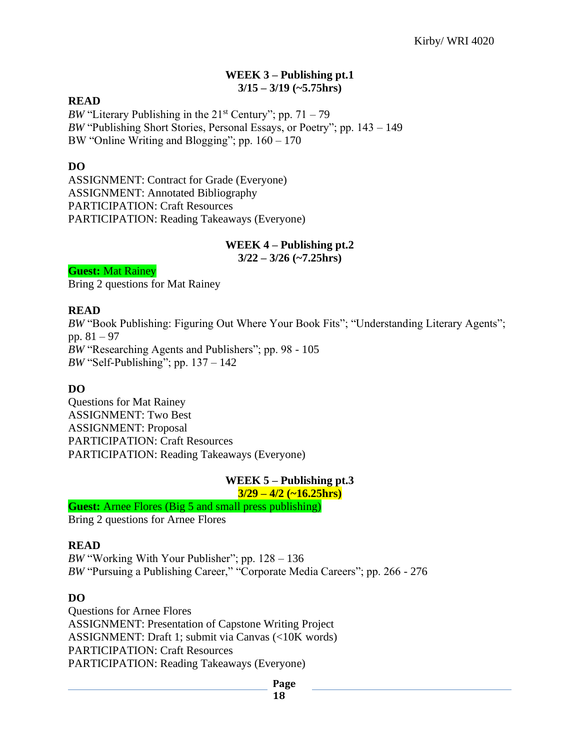#### **WEEK 3 – Publishing pt.1 3/15 – 3/19 (~5.75hrs)**

## **READ**

*BW* "Literary Publishing in the  $21<sup>st</sup>$  Century"; pp.  $71 - 79$ *BW* "Publishing Short Stories, Personal Essays, or Poetry"; pp. 143 – 149 BW "Online Writing and Blogging"; pp. 160 – 170

## **DO**

ASSIGNMENT: Contract for Grade (Everyone) ASSIGNMENT: Annotated Bibliography PARTICIPATION: Craft Resources PARTICIPATION: Reading Takeaways (Everyone)

# **WEEK 4 – Publishing pt.2**

**3/22 – 3/26 (~7.25hrs)**

**Guest:** Mat Rainey

Bring 2 questions for Mat Rainey

## **READ**

*BW* "Book Publishing: Figuring Out Where Your Book Fits"; "Understanding Literary Agents"; pp. 81 – 97 *BW* "Researching Agents and Publishers"; pp. 98 - 105 *BW* "Self-Publishing"; pp. 137 – 142

## **DO**

Questions for Mat Rainey ASSIGNMENT: Two Best ASSIGNMENT: Proposal PARTICIPATION: Craft Resources PARTICIPATION: Reading Takeaways (Everyone)

## **WEEK 5 – Publishing pt.3**

#### **3/29 – 4/2 (~16.25hrs)**

**Guest:** Arnee Flores (Big 5 and small press publishing)

Bring 2 questions for Arnee Flores

#### **READ**

*BW* "Working With Your Publisher"; pp. 128 – 136 *BW* "Pursuing a Publishing Career," "Corporate Media Careers"; pp. 266 - 276

## **DO**

Questions for Arnee Flores ASSIGNMENT: Presentation of Capstone Writing Project ASSIGNMENT: Draft 1; submit via Canvas (<10K words) PARTICIPATION: Craft Resources PARTICIPATION: Reading Takeaways (Everyone)

**Page**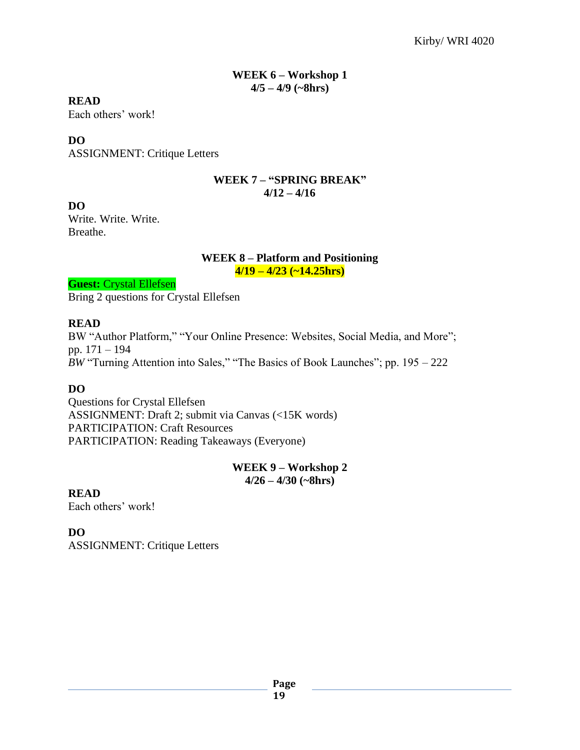#### **WEEK 6 – Workshop 1 4/5 – 4/9 (~8hrs)**

## **READ**

Each others' work!

# **DO**

ASSIGNMENT: Critique Letters

## **WEEK 7 – "SPRING BREAK" 4/12 – 4/16**

## **DO**

Write. Write. Write. Breathe.

#### **WEEK 8 – Platform and Positioning 4/19 – 4/23 (~14.25hrs)**

**Guest: Crystal Ellefsen** Bring 2 questions for Crystal Ellefsen

# **READ**

BW "Author Platform," "Your Online Presence: Websites, Social Media, and More"; pp. 171 – 194 *BW* "Turning Attention into Sales," "The Basics of Book Launches"; pp. 195 – 222

## **DO**

Questions for Crystal Ellefsen ASSIGNMENT: Draft 2; submit via Canvas (<15K words) PARTICIPATION: Craft Resources PARTICIPATION: Reading Takeaways (Everyone)

# **WEEK 9 – Workshop 2 4/26 – 4/30 (~8hrs)**

**READ**

Each others' work!

**DO**

ASSIGNMENT: Critique Letters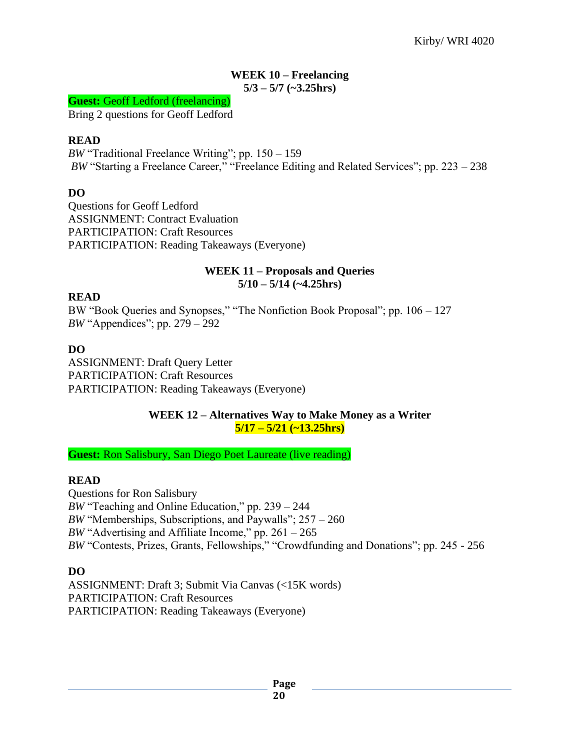#### **WEEK 10 – Freelancing 5/3 – 5/7 (~3.25hrs)**

#### **Guest:** Geoff Ledford (freelancing)

Bring 2 questions for Geoff Ledford

## **READ**

*BW* "Traditional Freelance Writing"; pp. 150 – 159 *BW* "Starting a Freelance Career," "Freelance Editing and Related Services"; pp. 223 – 238

## **DO**

Questions for Geoff Ledford ASSIGNMENT: Contract Evaluation PARTICIPATION: Craft Resources PARTICIPATION: Reading Takeaways (Everyone)

#### **WEEK 11 – Proposals and Queries 5/10 – 5/14 (~4.25hrs)**

## **READ**

BW "Book Queries and Synopses," "The Nonfiction Book Proposal"; pp. 106 – 127 *BW* "Appendices"; pp. 279 – 292

## **DO**

ASSIGNMENT: Draft Query Letter PARTICIPATION: Craft Resources PARTICIPATION: Reading Takeaways (Everyone)

## **WEEK 12 – Alternatives Way to Make Money as a Writer 5/17 – 5/21 (~13.25hrs)**

**Guest:** Ron Salisbury, San Diego Poet Laureate (live reading)

## **READ**

Questions for Ron Salisbury *BW* "Teaching and Online Education," pp. 239 – 244 *BW* "Memberships, Subscriptions, and Paywalls"; 257 – 260 *BW* "Advertising and Affiliate Income," pp.  $261 - 265$ *BW* "Contests, Prizes, Grants, Fellowships," "Crowdfunding and Donations"; pp. 245 - 256

## **DO**

ASSIGNMENT: Draft 3; Submit Via Canvas (<15K words) PARTICIPATION: Craft Resources PARTICIPATION: Reading Takeaways (Everyone)